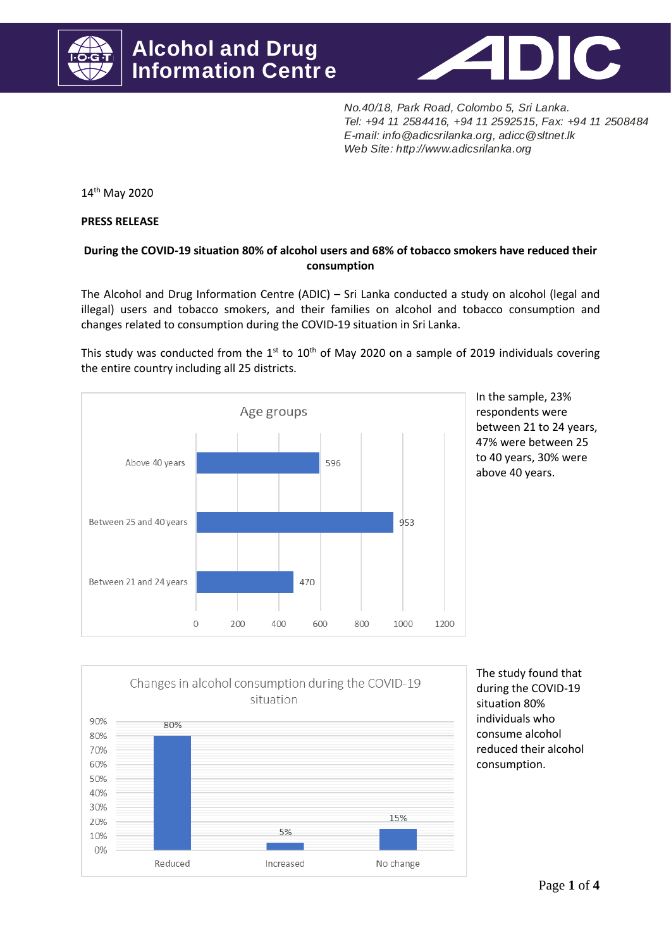



*No.40/18, Park Road, Colombo 5, Sri Lanka .* Tel: +94 11 2584416, +94 11 2592515, Fax: +94 11 2508484 *Web Site: http://www.adicsrilanka.org Colombo 5, Sri Lanka.*<br>
+94 11 2592515, Fax: +94 11 2<br>
nnka.org, adicc @sltnet.lk *E-mail: info@adicsrilanka.org, adicc@sltnet.lk* 

14th May 2020

**PRESS RELEASE**

## **During the COVID-19 situation 80% of alcohol users and 68% of tobacco smokers have reduced their consumption**

The Alcohol and Drug Information Centre (ADIC) – Sri Lanka conducted a study on alcohol (legal and illegal) users and tobacco smokers, and their families on alcohol and tobacco consumption and changes related to consumption during the COVID-19 situation in Sri Lanka.

This study was conducted from the  $1^{st}$  to  $10^{th}$  of May 2020 on a sample of 2019 individuals covering the entire country including all 25 districts.



In the sample, 23% respondents were between 21 to 24 years, 47% were between 25 to 40 years, 30% were above 40 years.



The study found that during the COVID-19 situation 80% individuals who consume alcohol reduced their alcohol consumption.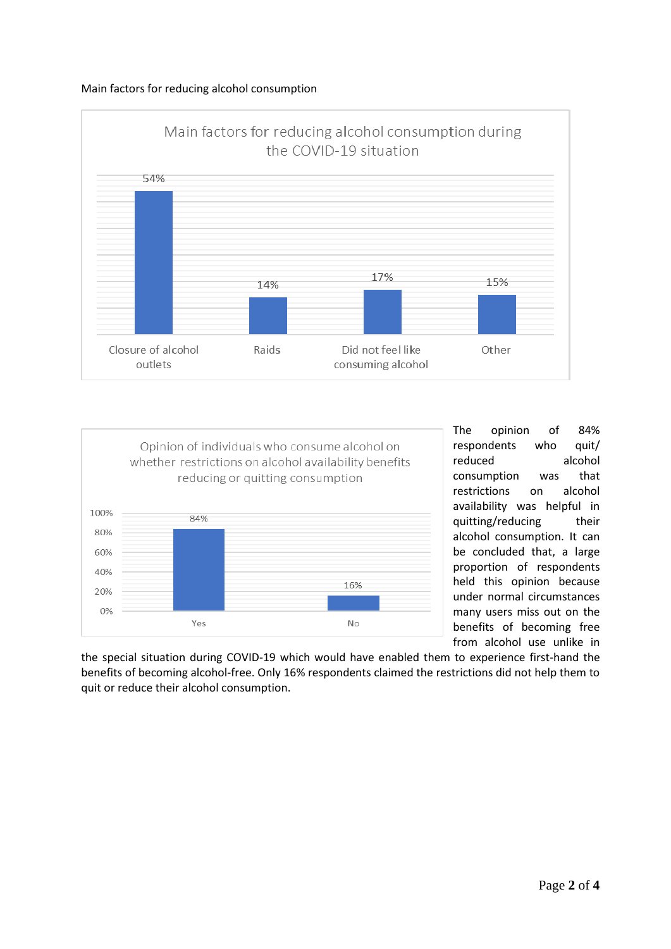## Main factors for reducing alcohol consumption





The opinion of 84% respondents who quit/ reduced alcohol consumption was that restrictions on alcohol availability was helpful in quitting/reducing their alcohol consumption. It can be concluded that, a large proportion of respondents held this opinion because under normal circumstances many users miss out on the benefits of becoming free from alcohol use unlike in

the special situation during COVID-19 which would have enabled them to experience first-hand the benefits of becoming alcohol-free. Only 16% respondents claimed the restrictions did not help them to quit or reduce their alcohol consumption.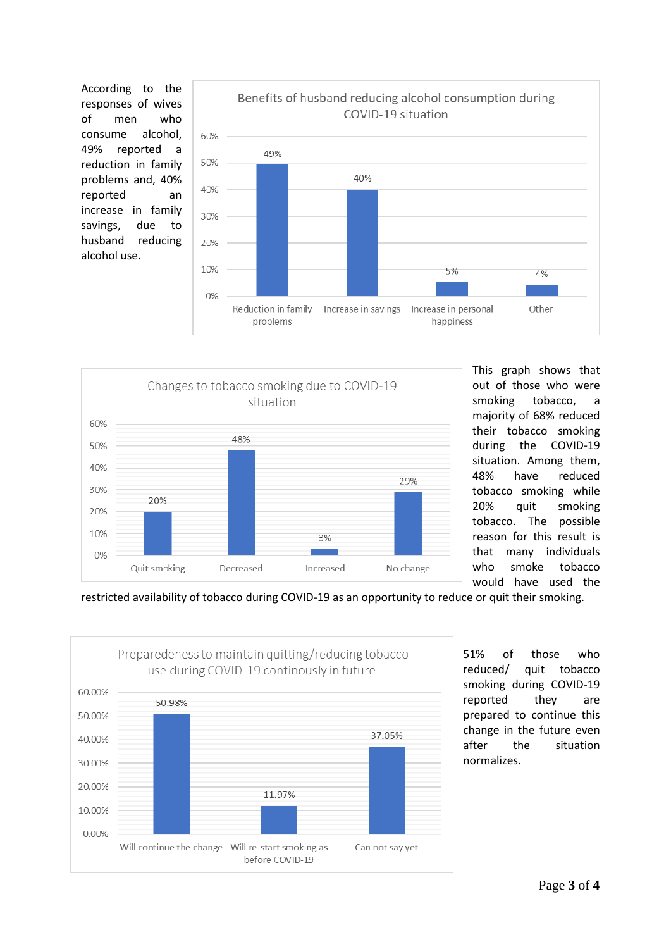According to the responses of wives of men who consume alcohol, 49% reported a reduction in family problems and, 40% reported an increase in family savings, due to husband reducing alcohol use.





This graph shows that out of those who were smoking tobacco, a majority of 68% reduced their tobacco smoking during the COVID-19 situation. Among them, 48% have reduced tobacco smoking while 20% quit smoking tobacco. The possible reason for this result is that many individuals who smoke tobacco would have used the

restricted availability of tobacco during COVID-19 as an opportunity to reduce or quit their smoking.



51% of those who reduced/ quit tobacco smoking during COVID-19 reported they are prepared to continue this change in the future even after the situation normalizes.